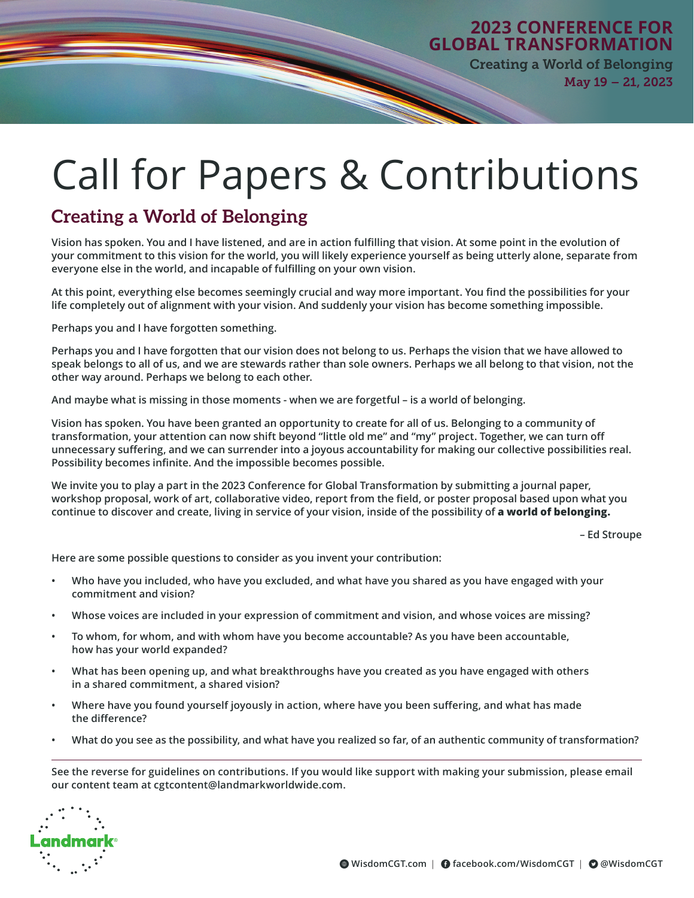# **2023 CONFERENCE FOR GLOBAL TRANSFORMATION**

Creating a World of Belonging May 19 – 21, 2023

# Call for Papers & Contributions

# **Creating a World of Belonging**

**Vision has spoken. You and I have listened, and are in action fulfilling that vision. At some point in the evolution of your commitment to this vision for the world, you will likely experience yourself as being utterly alone, separate from everyone else in the world, and incapable of fulfilling on your own vision.** 

**At this point, everything else becomes seemingly crucial and way more important. You find the possibilities for your life completely out of alignment with your vision. And suddenly your vision has become something impossible.**

**Perhaps you and I have forgotten something.** 

**Perhaps you and I have forgotten that our vision does not belong to us. Perhaps the vision that we have allowed to speak belongs to all of us, and we are stewards rather than sole owners. Perhaps we all belong to that vision, not the other way around. Perhaps we belong to each other.**

**And maybe what is missing in those moments - when we are forgetful – is a world of belonging.**

**Vision has spoken. You have been granted an opportunity to create for all of us. Belonging to a community of transformation, your attention can now shift beyond "little old me" and "my" project. Together, we can turn off unnecessary suffering, and we can surrender into a joyous accountability for making our collective possibilities real. Possibility becomes infinite. And the impossible becomes possible.**

**We invite you to play a part in the 2023 Conference for Global Transformation by submitting a journal paper, workshop proposal, work of art, collaborative video, report from the field, or poster proposal based upon what you**  continue to discover and create, living in service of your vision, inside of the possibility of **a world of belonging.** 

**– Ed Stroupe**

**Here are some possible questions to consider as you invent your contribution:**

- **• Who have you included, who have you excluded, and what have you shared as you have engaged with your commitment and vision?**
- **• Whose voices are included in your expression of commitment and vision, and whose voices are missing?**
- **• To whom, for whom, and with whom have you become accountable? As you have been accountable, how has your world expanded?**
- **• What has been opening up, and what breakthroughs have you created as you have engaged with others in a shared commitment, a shared vision?**
- **• Where have you found yourself joyously in action, where have you been suffering, and what has made the difference?**
- **• What do you see as the possibility, and what have you realized so far, of an authentic community of transformation?**

**See the reverse for guidelines on contributions. If you would like support with making your submission, please email our content team at cgtcontent@landmarkworldwide.com.**